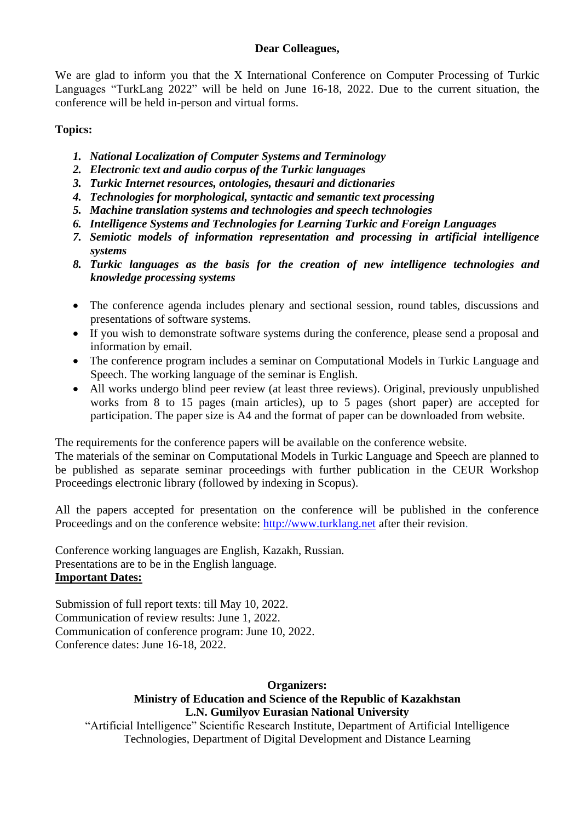#### **Dear Colleagues,**

We are glad to inform you that the X International Conference on Computer Processing of Turkic Languages "TurkLang 2022" will be held on June 16-18, 2022. Due to the current situation, the conference will be held in-person and virtual forms.

## **Topics:**

- *1. National Localization of Computer Systems and Terminology*
- *2. Electronic text and audio corpus of the Turkic languages*
- *3. Turkic Internet resources, ontologies, thesauri and dictionaries*
- *4. Technologies for morphological, syntactic and semantic text processing*
- *5. Machine translation systems and technologies and speech technologies*
- *6. Intelligence Systems and Technologies for Learning Turkic and Foreign Languages*
- *7. Semiotic models of information representation and processing in artificial intelligence systems*
- *8. Turkic languages as the basis for the creation of new intelligence technologies and knowledge processing systems*
- The conference agenda includes plenary and sectional session, round tables, discussions and presentations of software systems.
- If you wish to demonstrate software systems during the conference, please send a proposal and information by email.
- The conference program includes a seminar on Computational Models in Turkic Language and Speech. The working language of the seminar is English.
- All works undergo blind peer review (at least three reviews). Original, previously unpublished works from 8 to 15 pages (main articles), up to 5 pages (short paper) are accepted for participation. The paper size is A4 and the format of paper can be downloaded from website.

The requirements for the conference papers will be available on the conference website.

The materials of the seminar on Computational Models in Turkic Language and Speech are planned to be published as separate seminar proceedings with further publication in the CEUR Workshop Proceedings electronic library (followed by indexing in Scopus).

All the papers accepted for presentation on the conference will be published in the conference Proceedings and on the conference website: [http://www.turklang.net](http://www.turklang.net/) after their revision.

Conference working languages are English, Kazakh, Russian. Presentations are to be in the English language. **Important Dates:**

Submission of full report texts: till May 10, 2022. Communication of review results: June 1, 2022. Communication of conference program: June 10, 2022. Conference dates: June 16-18, 2022.

# **Organizers:**

# **Ministry of Education and Science of the Republic of Kazakhstan L.N. Gumilyov Eurasian National University**

"Artificial Intelligence" Scientific Research Institute, Department of Artificial Intelligence Technologies, Department of Digital Development and Distance Learning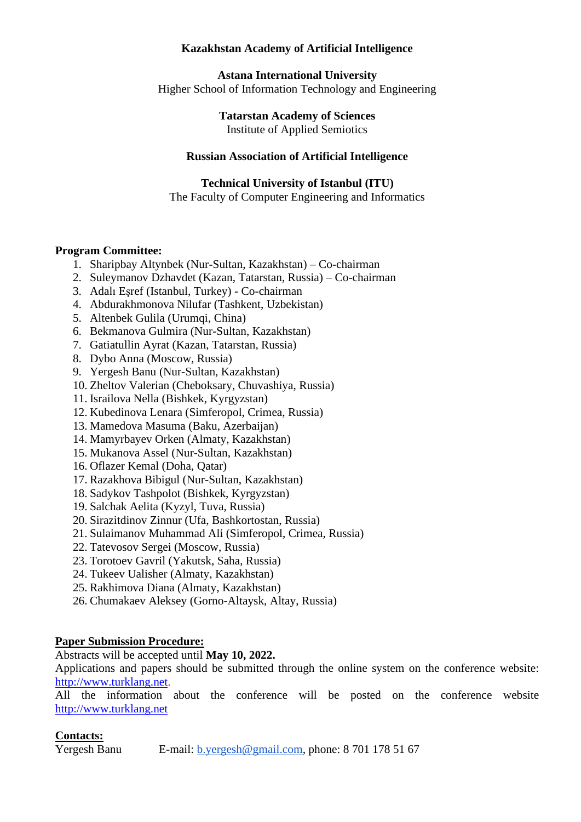## **Kazakhstan Academy of Artificial Intelligence**

**Astana International University** Higher School of Information Technology and Engineering

> **Tatarstan Academy of Sciences**  Institute of Applied Semiotics

## **Russian Association of Artificial Intelligence**

**Technical University of Istanbul (ITU)**

The Faculty of Computer Engineering and Informatics

## **Program Committee:**

- 1. Sharipbay Altynbek (Nur-Sultan, Kazakhstan) Co-chairman
- 2. Suleymanov Dzhavdet (Kazan, Tatarstan, Russia) Co-chairman
- 3. Adalı Eşref (Istanbul, Turkey) Co-chairman
- 4. Abdurakhmonova Nilufar (Tashkent, Uzbekistan)
- 5. Altenbek Gulila (Urumqi, China)
- 6. Bekmanova Gulmira (Nur-Sultan, Kazakhstan)
- 7. Gatiatullin Ayrat (Kazan, Tatarstan, Russia)
- 8. Dybo Anna (Moscow, Russia)
- 9. Yergesh Banu (Nur-Sultan, Kazakhstan)
- 10. Zheltov Valerian (Cheboksary, Chuvashiya, Russia)
- 11. Israilova Nella (Bishkek, Kyrgyzstan)
- 12. Kubedinova Lenara (Simferopol, Crimea, Russia)
- 13. Mamedova Masuma (Baku, Azerbaijan)
- 14. Mamyrbayev Orken (Almaty, Kazakhstan)
- 15. Mukanova Assel (Nur-Sultan, Kazakhstan)
- 16. Oflazer Kemal (Doha, Qatar)
- 17. Razakhova Bibigul (Nur-Sultan, Kazakhstan)
- 18. Sadykov Tashpolot (Bishkek, Kyrgyzstan)
- 19. Salchak Aelita (Kyzyl, Tuva, Russia)
- 20. Sirazitdinov Zinnur (Ufa, Bashkortostan, Russia)
- 21. Sulaimanov Muhammad Ali (Simferopol, Crimea, Russia)
- 22. Tatevosov Sergei (Moscow, Russia)
- 23. Torotoev Gavril (Yakutsk, Saha, Russia)
- 24. Tukeev Ualisher (Almaty, Kazakhstan)
- 25. Rakhimova Diana (Almaty, Kazakhstan)
- 26. Chumakaev Aleksey (Gorno-Altaysk, Altay, Russia)

#### **Paper Submission Procedure:**

Abstracts will be accepted until **May 10, 2022.**

Applications and papers should be submitted through the online system on the conference website: [http://www.turklang.net.](http://www.turklang.net/)

All the information about the conference will be posted on the conference website [http://www.turklang.net](http://www.turklang.net/)

## **Contacts:**

Yergesh Banu E-mail: [b.yergesh@gmail.com,](mailto:b.yergesh@gmail.com) phone: 8 701 178 51 67